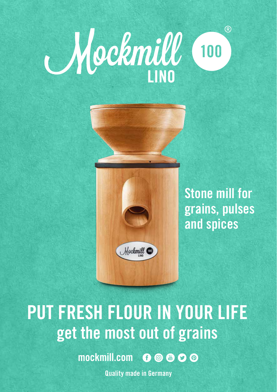# $(R)$ Mockmill 100



**Stone mill for grains, pulses and spices**

# **PUT FRESH FLOUR IN YOUR LIFE get the most out of grains**

mockmill.com OOOO

**Quality made in Germany**